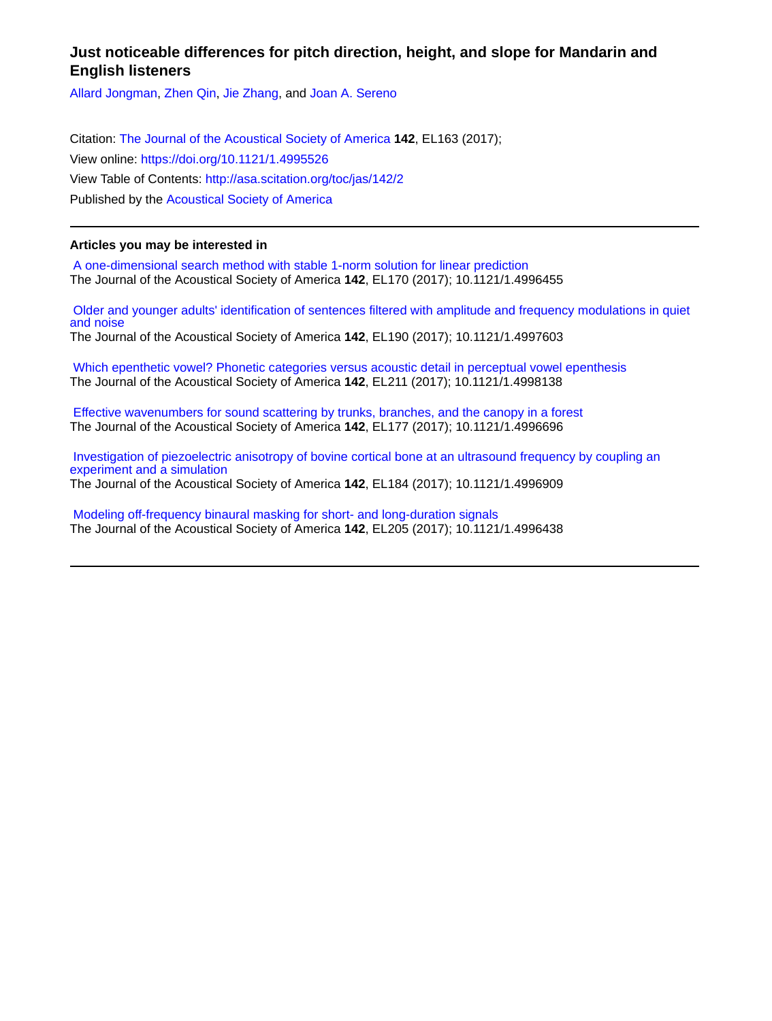# **Just noticeable differences for pitch direction, height, and slope for Mandarin and English listeners**

[Allard Jongman,](http://asa.scitation.org/author/Jongman%2C+Allard) [Zhen Qin](http://asa.scitation.org/author/Qin%2C+Zhen), [Jie Zhang,](http://asa.scitation.org/author/Zhang%2C+Jie) and [Joan A. Sereno](http://asa.scitation.org/author/Sereno%2C+Joan+A)

Citation: [The Journal of the Acoustical Society of America](/loi/jas) **142**, EL163 (2017); View online: <https://doi.org/10.1121/1.4995526> View Table of Contents: <http://asa.scitation.org/toc/jas/142/2> Published by the [Acoustical Society of America](http://asa.scitation.org/publisher/)

## **Articles you may be interested in**

 [A one-dimensional search method with stable 1-norm solution for linear prediction](http://asa.scitation.org/doi/abs/10.1121/1.4996455) The Journal of the Acoustical Society of America **142**, EL170 (2017); 10.1121/1.4996455

 [Older and younger adults' identification of sentences filtered with amplitude and frequency modulations in quiet](http://asa.scitation.org/doi/abs/10.1121/1.4997603) [and noise](http://asa.scitation.org/doi/abs/10.1121/1.4997603) The Journal of the Acoustical Society of America **142**, EL190 (2017); 10.1121/1.4997603

 [Which epenthetic vowel? Phonetic categories versus acoustic detail in perceptual vowel epenthesis](http://asa.scitation.org/doi/abs/10.1121/1.4998138) The Journal of the Acoustical Society of America **142**, EL211 (2017); 10.1121/1.4998138

 [Effective wavenumbers for sound scattering by trunks, branches, and the canopy in a forest](http://asa.scitation.org/doi/abs/10.1121/1.4996696) The Journal of the Acoustical Society of America **142**, EL177 (2017); 10.1121/1.4996696

 [Investigation of piezoelectric anisotropy of bovine cortical bone at an ultrasound frequency by coupling an](http://asa.scitation.org/doi/abs/10.1121/1.4996909) [experiment and a simulation](http://asa.scitation.org/doi/abs/10.1121/1.4996909) The Journal of the Acoustical Society of America **142**, EL184 (2017); 10.1121/1.4996909

 [Modeling off-frequency binaural masking for short- and long-duration signals](http://asa.scitation.org/doi/abs/10.1121/1.4996438) The Journal of the Acoustical Society of America **142**, EL205 (2017); 10.1121/1.4996438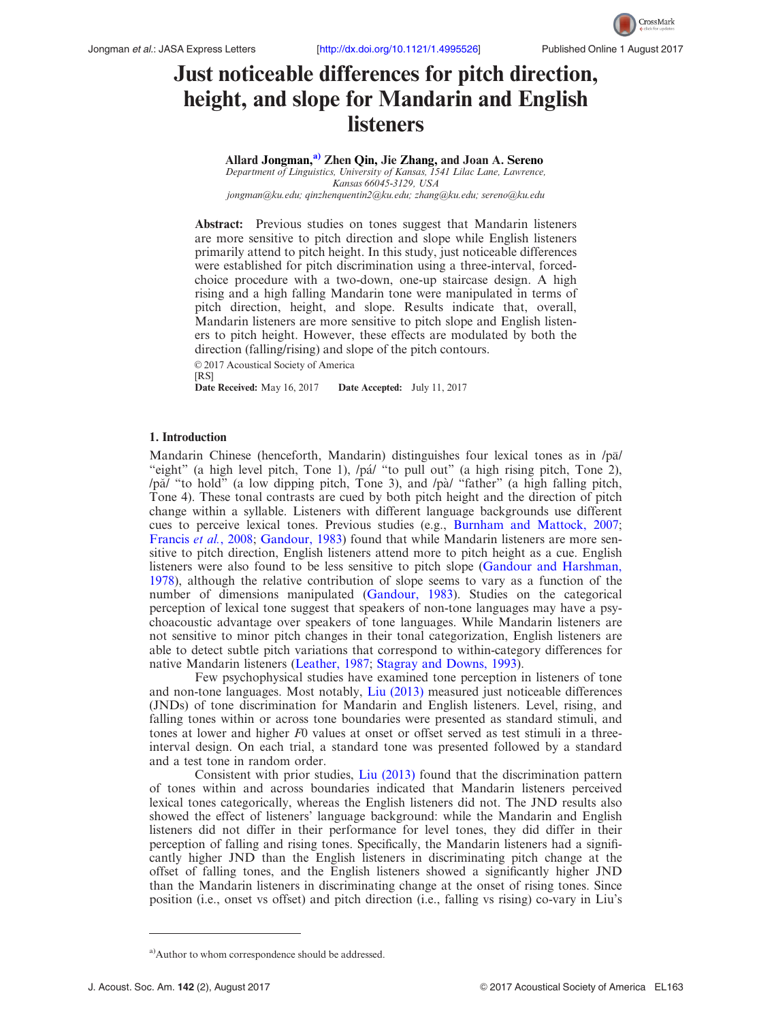

# Just noticeable differences for pitch direction, height, and slope for Mandarin and English listeners

Allard Jongman,<sup>a)</sup> Zhen Qin, Jie Zhang, and Joan A. Sereno Department of Linguistics, University of Kansas, 1541 Lilac Lane, Lawrence, Kansas 66045-3129, USA [jongman@ku.edu](mailto:jongman@ku.edu); [qinzhenquentin2@ku.edu](mailto:qinzhenquentin2@ku.edu); [zhang@ku.edu](mailto:zhang@ku.edu); [sereno@ku.edu](mailto:sereno@ku.edu)

Abstract: Previous studies on tones suggest that Mandarin listeners are more sensitive to pitch direction and slope while English listeners primarily attend to pitch height. In this study, just noticeable differences were established for pitch discrimination using a three-interval, forcedchoice procedure with a two-down, one-up staircase design. A high rising and a high falling Mandarin tone were manipulated in terms of pitch direction, height, and slope. Results indicate that, overall, Mandarin listeners are more sensitive to pitch slope and English listeners to pitch height. However, these effects are modulated by both the direction (falling/rising) and slope of the pitch contours.

© 2017 Acoustical Society of America [RS]<br>Date Received: May 16, 2017

Date Accepted: July 11, 2017

#### 1. Introduction

Mandarin Chinese (henceforth, Mandarin) distinguishes four lexical tones as in /pal/ "eight" (a high level pitch, Tone 1), /pá/ "to pull out" (a high rising pitch, Tone 2), /pa/ "to hold" (a low dipping pitch, Tone 3), and /pa/ "father" (a high falling pitch, Tone 4). These tonal contrasts are cued by both pitch height and the direction of pitch change within a syllable. Listeners with different language backgrounds use different cues to perceive lexical tones. Previous studies (e.g., [Burnham and Mattock, 2007;](#page-7-0) [Francis](#page-7-0) et al., 2008; [Gandour, 1983](#page-7-0)) found that while Mandarin listeners are more sensitive to pitch direction, English listeners attend more to pitch height as a cue. English listeners were also found to be less sensitive to pitch slope [\(Gandour and Harshman,](#page-7-0) [1978\)](#page-7-0), although the relative contribution of slope seems to vary as a function of the number of dimensions manipulated [\(Gandour, 1983](#page-7-0)). Studies on the categorical perception of lexical tone suggest that speakers of non-tone languages may have a psychoacoustic advantage over speakers of tone languages. While Mandarin listeners are not sensitive to minor pitch changes in their tonal categorization, English listeners are able to detect subtle pitch variations that correspond to within-category differences for native Mandarin listeners [\(Leather, 1987;](#page-7-0) [Stagray and Downs, 1993\)](#page-7-0).

Few psychophysical studies have examined tone perception in listeners of tone and non-tone languages. Most notably, [Liu \(2013\)](#page-7-0) measured just noticeable differences (JNDs) of tone discrimination for Mandarin and English listeners. Level, rising, and falling tones within or across tone boundaries were presented as standard stimuli, and tones at lower and higher  $F0$  values at onset or offset served as test stimuli in a threeinterval design. On each trial, a standard tone was presented followed by a standard and a test tone in random order.

Consistent with prior studies, [Liu \(2013\)](#page-7-0) found that the discrimination pattern of tones within and across boundaries indicated that Mandarin listeners perceived lexical tones categorically, whereas the English listeners did not. The JND results also showed the effect of listeners' language background: while the Mandarin and English listeners did not differ in their performance for level tones, they did differ in their perception of falling and rising tones. Specifically, the Mandarin listeners had a significantly higher JND than the English listeners in discriminating pitch change at the offset of falling tones, and the English listeners showed a significantly higher JND than the Mandarin listeners in discriminating change at the onset of rising tones. Since position (i.e., onset vs offset) and pitch direction (i.e., falling vs rising) co-vary in Liu's

<sup>&</sup>lt;sup>a)</sup>Author to whom correspondence should be addressed.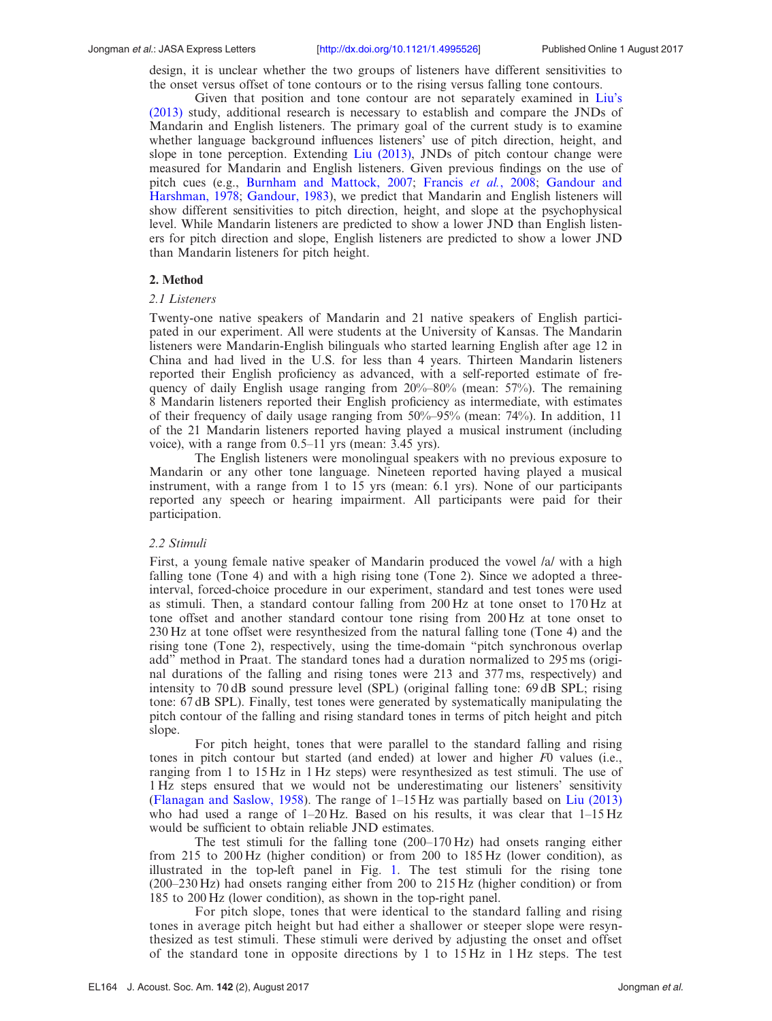Jongman et al.: JASA Express Letters [<http://dx.doi.org/10.1121/1.4995526>] Published Online 1 August 2017

design, it is unclear whether the two groups of listeners have different sensitivities to the onset versus offset of tone contours or to the rising versus falling tone contours.

Given that position and tone contour are not separately examined in [Liu's](#page-7-0) [\(2013\)](#page-7-0) study, additional research is necessary to establish and compare the JNDs of Mandarin and English listeners. The primary goal of the current study is to examine whether language background influences listeners' use of pitch direction, height, and slope in tone perception. Extending [Liu \(2013\)](#page-7-0), JNDs of pitch contour change were measured for Mandarin and English listeners. Given previous findings on the use of pitch cues (e.g., [Burnham and Mattock, 2007](#page-7-0); [Francis](#page-7-0) et al., 2008; [Gandour and](#page-7-0) [Harshman, 1978;](#page-7-0) [Gandour, 1983](#page-7-0)), we predict that Mandarin and English listeners will show different sensitivities to pitch direction, height, and slope at the psychophysical level. While Mandarin listeners are predicted to show a lower JND than English listeners for pitch direction and slope, English listeners are predicted to show a lower JND than Mandarin listeners for pitch height.

### 2. Method

#### 2.1 Listeners

Twenty-one native speakers of Mandarin and 21 native speakers of English participated in our experiment. All were students at the University of Kansas. The Mandarin listeners were Mandarin-English bilinguals who started learning English after age 12 in China and had lived in the U.S. for less than 4 years. Thirteen Mandarin listeners reported their English proficiency as advanced, with a self-reported estimate of frequency of daily English usage ranging from 20%–80% (mean: 57%). The remaining 8 Mandarin listeners reported their English proficiency as intermediate, with estimates of their frequency of daily usage ranging from 50%–95% (mean: 74%). In addition, 11 of the 21 Mandarin listeners reported having played a musical instrument (including voice), with a range from 0.5–11 yrs (mean: 3.45 yrs).

The English listeners were monolingual speakers with no previous exposure to Mandarin or any other tone language. Nineteen reported having played a musical instrument, with a range from 1 to 15 yrs (mean: 6.1 yrs). None of our participants reported any speech or hearing impairment. All participants were paid for their participation.

#### 2.2 Stimuli

First, a young female native speaker of Mandarin produced the vowel /a/ with a high falling tone (Tone 4) and with a high rising tone (Tone 2). Since we adopted a threeinterval, forced-choice procedure in our experiment, standard and test tones were used as stimuli. Then, a standard contour falling from 200 Hz at tone onset to 170 Hz at tone offset and another standard contour tone rising from 200 Hz at tone onset to 230 Hz at tone offset were resynthesized from the natural falling tone (Tone 4) and the rising tone (Tone 2), respectively, using the time-domain "pitch synchronous overlap add" method in Praat. The standard tones had a duration normalized to 295 ms (original durations of the falling and rising tones were 213 and 377 ms, respectively) and intensity to 70 dB sound pressure level (SPL) (original falling tone: 69 dB SPL; rising tone: 67 dB SPL). Finally, test tones were generated by systematically manipulating the pitch contour of the falling and rising standard tones in terms of pitch height and pitch slope.

For pitch height, tones that were parallel to the standard falling and rising tones in pitch contour but started (and ended) at lower and higher F0 values (i.e., ranging from 1 to 15 Hz in 1 Hz steps) were resynthesized as test stimuli. The use of 1 Hz steps ensured that we would not be underestimating our listeners' sensitivity ([Flanagan and Saslow, 1958\)](#page-7-0). The range of 1–15 Hz was partially based on [Liu \(2013\)](#page-7-0) who had used a range of  $1-20$  Hz. Based on his results, it was clear that  $1-15$  Hz would be sufficient to obtain reliable JND estimates.

The test stimuli for the falling tone (200–170 Hz) had onsets ranging either from 215 to 200 Hz (higher condition) or from 200 to 185 Hz (lower condition), as illustrated in the top-left panel in Fig. [1.](#page-3-0) The test stimuli for the rising tone (200–230 Hz) had onsets ranging either from 200 to 215 Hz (higher condition) or from 185 to 200 Hz (lower condition), as shown in the top-right panel.

For pitch slope, tones that were identical to the standard falling and rising tones in average pitch height but had either a shallower or steeper slope were resynthesized as test stimuli. These stimuli were derived by adjusting the onset and offset of the standard tone in opposite directions by 1 to 15 Hz in 1 Hz steps. The test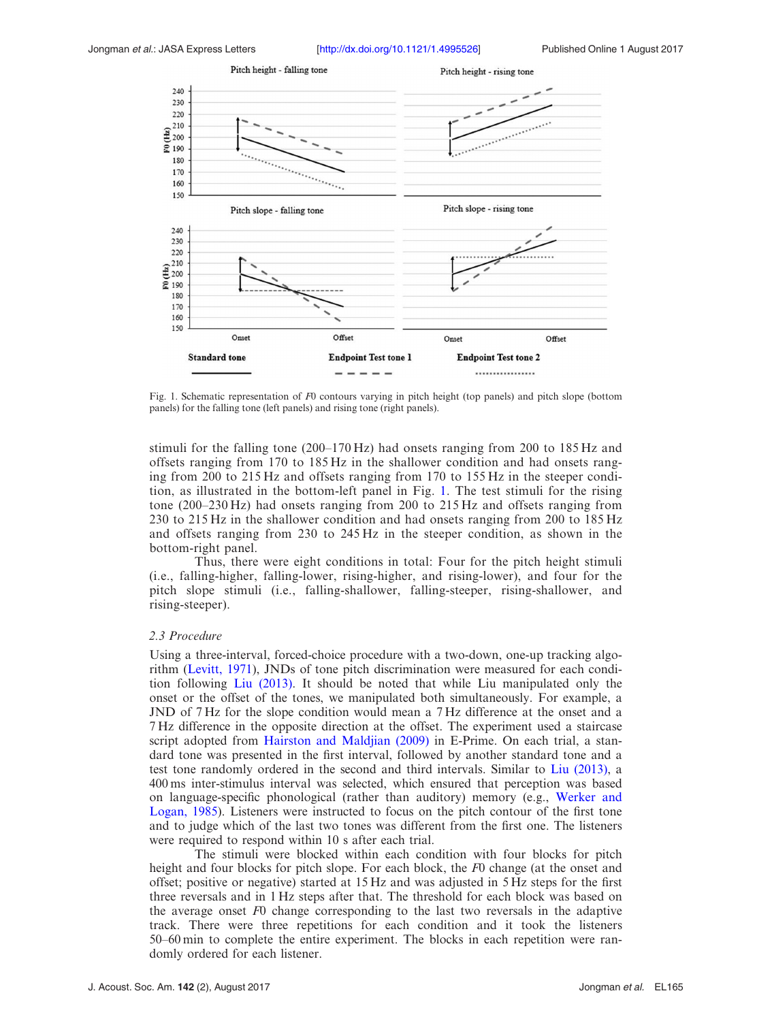<span id="page-3-0"></span>

Fig. 1. Schematic representation of F0 contours varying in pitch height (top panels) and pitch slope (bottom panels) for the falling tone (left panels) and rising tone (right panels).

stimuli for the falling tone (200–170 Hz) had onsets ranging from 200 to 185 Hz and offsets ranging from 170 to 185 Hz in the shallower condition and had onsets ranging from 200 to 215 Hz and offsets ranging from 170 to 155 Hz in the steeper condition, as illustrated in the bottom-left panel in Fig. 1. The test stimuli for the rising tone (200–230 Hz) had onsets ranging from 200 to 215 Hz and offsets ranging from 230 to 215 Hz in the shallower condition and had onsets ranging from 200 to 185 Hz and offsets ranging from 230 to 245 Hz in the steeper condition, as shown in the bottom-right panel.

Thus, there were eight conditions in total: Four for the pitch height stimuli (i.e., falling-higher, falling-lower, rising-higher, and rising-lower), and four for the pitch slope stimuli (i.e., falling-shallower, falling-steeper, rising-shallower, and rising-steeper).

#### 2.3 Procedure

Using a three-interval, forced-choice procedure with a two-down, one-up tracking algorithm ([Levitt, 1971](#page-7-0)), JNDs of tone pitch discrimination were measured for each condition following [Liu \(2013\).](#page-7-0) It should be noted that while Liu manipulated only the onset or the offset of the tones, we manipulated both simultaneously. For example, a JND of 7 Hz for the slope condition would mean a 7 Hz difference at the onset and a 7 Hz difference in the opposite direction at the offset. The experiment used a staircase script adopted from [Hairston and Maldjian \(2009\)](#page-7-0) in E-Prime. On each trial, a standard tone was presented in the first interval, followed by another standard tone and a test tone randomly ordered in the second and third intervals. Similar to [Liu \(2013\),](#page-7-0) a 400 ms inter-stimulus interval was selected, which ensured that perception was based on language-specific phonological (rather than auditory) memory (e.g., [Werker and](#page-7-0) [Logan, 1985\)](#page-7-0). Listeners were instructed to focus on the pitch contour of the first tone and to judge which of the last two tones was different from the first one. The listeners were required to respond within 10 s after each trial.

The stimuli were blocked within each condition with four blocks for pitch height and four blocks for pitch slope. For each block, the F0 change (at the onset and offset; positive or negative) started at 15 Hz and was adjusted in 5 Hz steps for the first three reversals and in 1 Hz steps after that. The threshold for each block was based on the average onset F0 change corresponding to the last two reversals in the adaptive track. There were three repetitions for each condition and it took the listeners 50–60 min to complete the entire experiment. The blocks in each repetition were randomly ordered for each listener.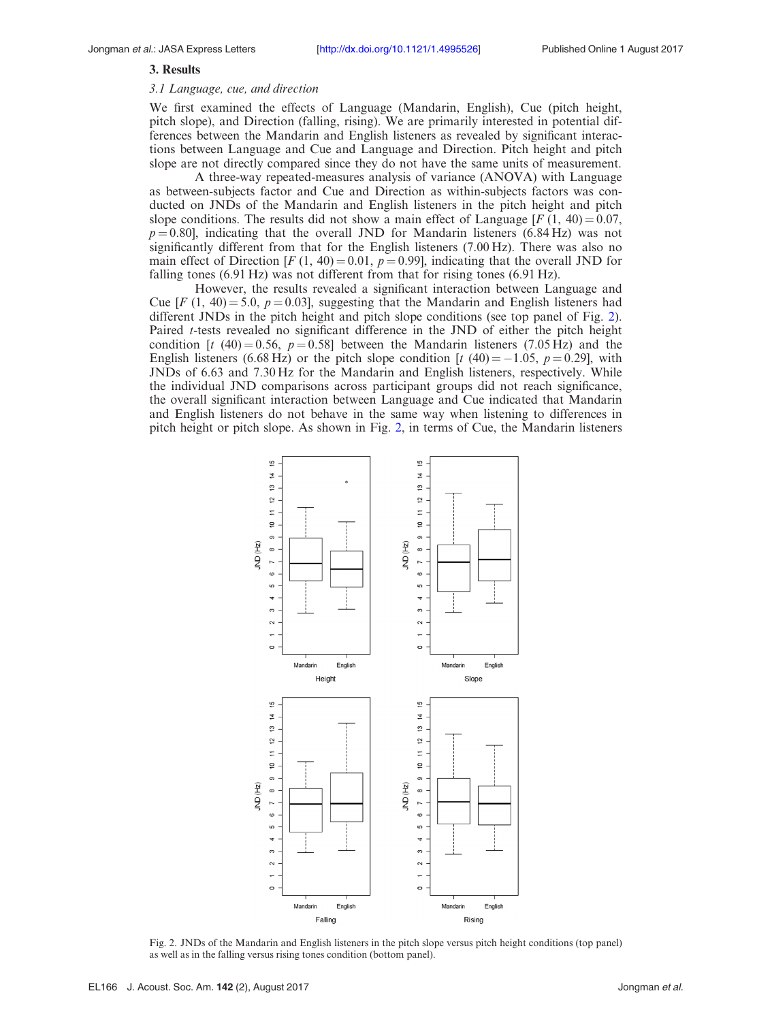#### <span id="page-4-0"></span>3. Results

#### 3.1 Language, cue, and direction

We first examined the effects of Language (Mandarin, English), Cue (pitch height, pitch slope), and Direction (falling, rising). We are primarily interested in potential differences between the Mandarin and English listeners as revealed by significant interactions between Language and Cue and Language and Direction. Pitch height and pitch slope are not directly compared since they do not have the same units of measurement.

A three-way repeated-measures analysis of variance (ANOVA) with Language as between-subjects factor and Cue and Direction as within-subjects factors was conducted on JNDs of the Mandarin and English listeners in the pitch height and pitch slope conditions. The results did not show a main effect of Language  $[F(1, 40) = 0.07,$  $p = 0.80$ ], indicating that the overall JND for Mandarin listeners (6.84 Hz) was not significantly different from that for the English listeners (7.00 Hz). There was also no main effect of Direction  $[F(1, 40) = 0.01, p = 0.99]$ , indicating that the overall JND for falling tones (6.91 Hz) was not different from that for rising tones (6.91 Hz).

However, the results revealed a significant interaction between Language and Cue  $[F(1, 40) = 5.0, p = 0.03]$ , suggesting that the Mandarin and English listeners had different JNDs in the pitch height and pitch slope conditions (see top panel of Fig. 2). Paired *t*-tests revealed no significant difference in the JND of either the pitch height condition [t (40) = 0.56, p = 0.58] between the Mandarin listeners (7.05 Hz) and the English listeners (6.68 Hz) or the pitch slope condition [t (40) = -1.05,  $p = 0.29$ ], with JNDs of 6.63 and 7.30 Hz for the Mandarin and English listeners, respectively. While the individual JND comparisons across participant groups did not reach significance, the overall significant interaction between Language and Cue indicated that Mandarin and English listeners do not behave in the same way when listening to differences in pitch height or pitch slope. As shown in Fig. 2, in terms of Cue, the Mandarin listeners



Fig. 2. JNDs of the Mandarin and English listeners in the pitch slope versus pitch height conditions (top panel) as well as in the falling versus rising tones condition (bottom panel).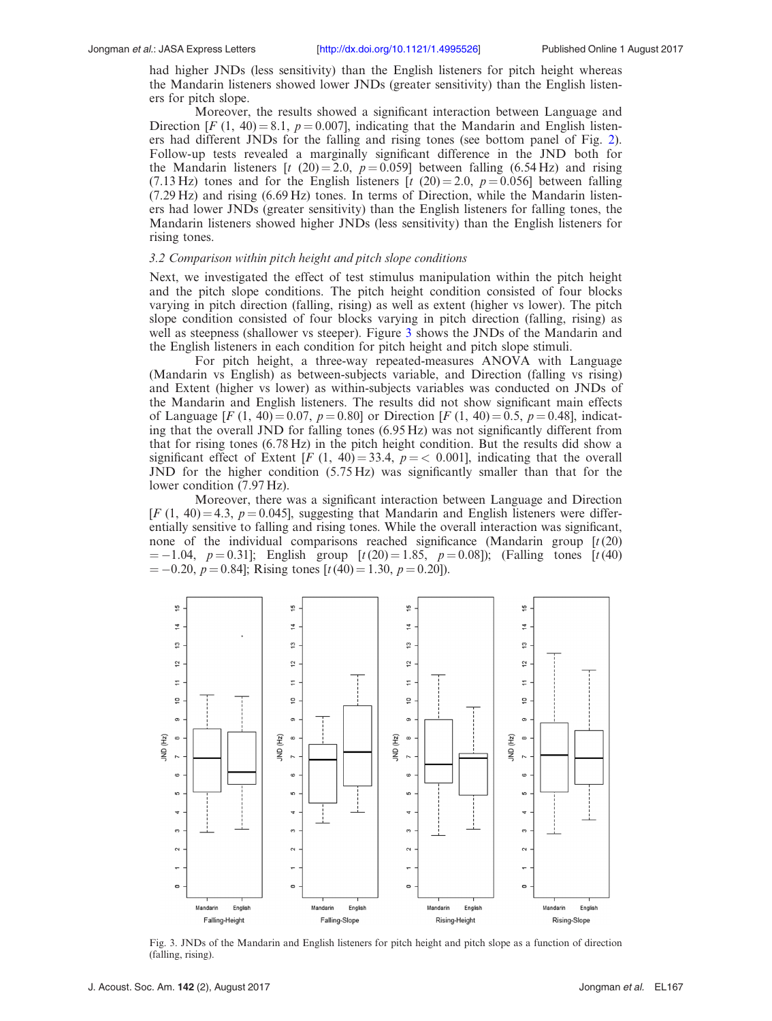had higher JNDs (less sensitivity) than the English listeners for pitch height whereas the Mandarin listeners showed lower JNDs (greater sensitivity) than the English listeners for pitch slope.

Moreover, the results showed a significant interaction between Language and Direction [F (1, 40) = 8.1,  $p = 0.007$ ], indicating that the Mandarin and English listeners had different JNDs for the falling and rising tones (see bottom panel of Fig. [2\)](#page-4-0). Follow-up tests revealed a marginally significant difference in the JND both for the Mandarin listeners [t (20) = 2.0,  $p = 0.059$ ] between falling (6.54 Hz) and rising (7.13 Hz) tones and for the English listeners [t (20) = 2.0,  $p = 0.056$ ] between falling (7.29 Hz) and rising (6.69 Hz) tones. In terms of Direction, while the Mandarin listeners had lower JNDs (greater sensitivity) than the English listeners for falling tones, the Mandarin listeners showed higher JNDs (less sensitivity) than the English listeners for rising tones.

#### 3.2 Comparison within pitch height and pitch slope conditions

Next, we investigated the effect of test stimulus manipulation within the pitch height and the pitch slope conditions. The pitch height condition consisted of four blocks varying in pitch direction (falling, rising) as well as extent (higher vs lower). The pitch slope condition consisted of four blocks varying in pitch direction (falling, rising) as well as steepness (shallower vs steeper). Figure 3 shows the JNDs of the Mandarin and the English listeners in each condition for pitch height and pitch slope stimuli.

For pitch height, a three-way repeated-measures ANOVA with Language (Mandarin vs English) as between-subjects variable, and Direction (falling vs rising) and Extent (higher vs lower) as within-subjects variables was conducted on JNDs of the Mandarin and English listeners. The results did not show significant main effects of Language  $[F (1, 40) = 0.07, p = 0.80]$  or Direction  $[F (1, 40) = 0.5, p = 0.48]$ , indicating that the overall JND for falling tones (6.95 Hz) was not significantly different from that for rising tones (6.78 Hz) in the pitch height condition. But the results did show a significant effect of Extent [F (1, 40) = 33.4,  $p = 0.001$ ], indicating that the overall JND for the higher condition (5.75 Hz) was significantly smaller than that for the lower condition (7.97 Hz).

Moreover, there was a significant interaction between Language and Direction  $[F(1, 40) = 4.3, p = 0.045]$ , suggesting that Mandarin and English listeners were differentially sensitive to falling and rising tones. While the overall interaction was significant, none of the individual comparisons reached significance (Mandarin group  $[t(20)]$  $= -1.04$ ,  $p = 0.31$ ; English group  $[t(20) = 1.85, p = 0.08]$ ; (Falling tones  $[t(40)$ )  $= -0.20, p = 0.84$ ; Rising tones [t(40) = 1.30, p = 0.20]).



Fig. 3. JNDs of the Mandarin and English listeners for pitch height and pitch slope as a function of direction (falling, rising).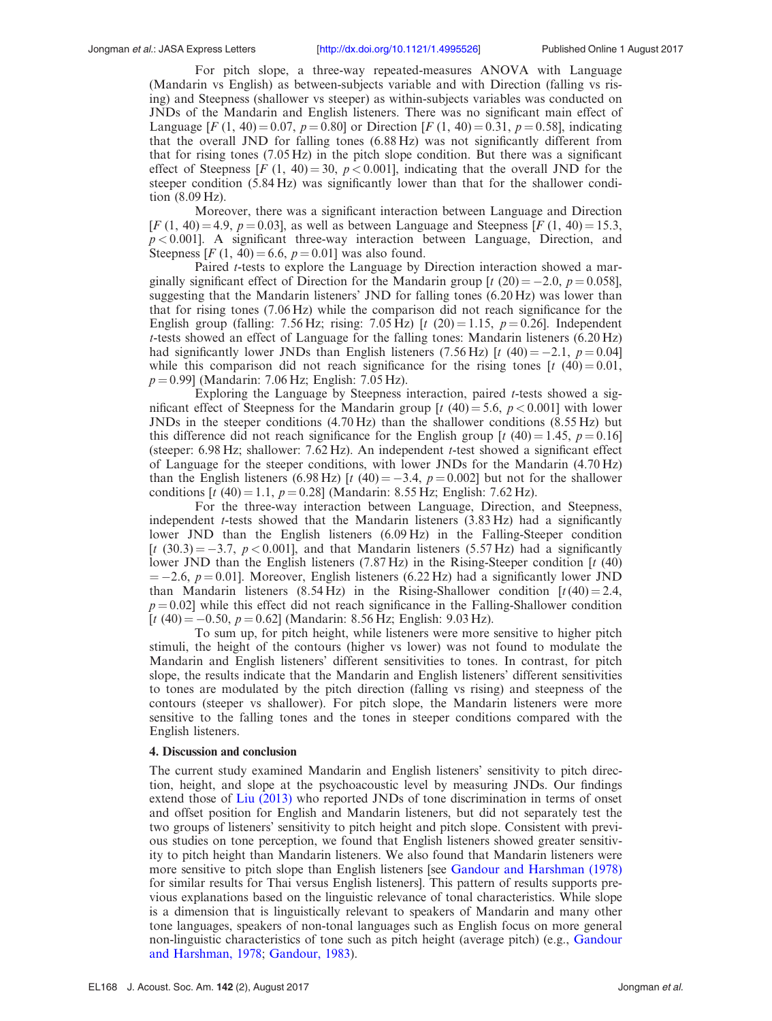For pitch slope, a three-way repeated-measures ANOVA with Language (Mandarin vs English) as between-subjects variable and with Direction (falling vs rising) and Steepness (shallower vs steeper) as within-subjects variables was conducted on JNDs of the Mandarin and English listeners. There was no significant main effect of Language [F (1, 40) = 0.07, p = 0.80] or Direction [F (1, 40) = 0.31, p = 0.58], indicating that the overall JND for falling tones (6.88 Hz) was not significantly different from that for rising tones (7.05 Hz) in the pitch slope condition. But there was a significant effect of Steepness [F (1, 40) = 30,  $p < 0.001$ ], indicating that the overall JND for the steeper condition (5.84 Hz) was significantly lower than that for the shallower condition (8.09 Hz).

Moreover, there was a significant interaction between Language and Direction  $[F(1, 40) = 4.9, p = 0.03]$ , as well as between Language and Steepness [ $F(1, 40) = 15.3$ ,  $p < 0.001$ . A significant three-way interaction between Language, Direction, and Steepness  $[F(1, 40) = 6.6, p = 0.01]$  was also found.

Paired t-tests to explore the Language by Direction interaction showed a marginally significant effect of Direction for the Mandarin group [t (20) = -2.0,  $p = 0.058$ ], suggesting that the Mandarin listeners' JND for falling tones (6.20 Hz) was lower than that for rising tones (7.06 Hz) while the comparison did not reach significance for the English group (falling: 7.56 Hz; rising: 7.05 Hz) [t (20) = 1.15,  $p = 0.26$ ]. Independent t-tests showed an effect of Language for the falling tones: Mandarin listeners (6.20 Hz) had significantly lower JNDs than English listeners (7.56 Hz) [t (40) = -2.1,  $p = 0.04$ ] while this comparison did not reach significance for the rising tones  $[t (40) = 0.01]$ ,  $p = 0.99$ ] (Mandarin: 7.06 Hz; English: 7.05 Hz).

Exploring the Language by Steepness interaction, paired  $t$ -tests showed a significant effect of Steepness for the Mandarin group [t (40) = 5.6,  $p < 0.001$ ] with lower JNDs in the steeper conditions (4.70 Hz) than the shallower conditions (8.55 Hz) but this difference did not reach significance for the English group  $[t (40) = 1.45, p = 0.16]$ (steeper:  $6.98$  Hz; shallower:  $7.62$  Hz). An independent  $t$ -test showed a significant effect of Language for the steeper conditions, with lower JNDs for the Mandarin (4.70 Hz) than the English listeners (6.98 Hz) [t (40) =  $-3.4$ ,  $p = 0.002$ ] but not for the shallower conditions  $[t (40) = 1.1, p = 0.28]$  (Mandarin: 8.55 Hz; English: 7.62 Hz).

For the three-way interaction between Language, Direction, and Steepness, independent *t*-tests showed that the Mandarin listeners  $(3.83 \text{ Hz})$  had a significantly lower JND than the English listeners (6.09 Hz) in the Falling-Steeper condition [t (30.3) = -3.7,  $p < 0.001$ ], and that Mandarin listeners (5.57 Hz) had a significantly lower JND than the English listeners (7.87 Hz) in the Rising-Steeper condition [t (40)  $=-2.6, p=0.01$ . Moreover, English listeners (6.22 Hz) had a significantly lower JND than Mandarin listeners (8.54 Hz) in the Rising-Shallower condition  $[t(40) = 2.4]$ ,  $p = 0.02$ ] while this effect did not reach significance in the Falling-Shallower condition  $[t (40) = -0.50, p = 0.62]$  (Mandarin: 8.56 Hz; English: 9.03 Hz).

To sum up, for pitch height, while listeners were more sensitive to higher pitch stimuli, the height of the contours (higher vs lower) was not found to modulate the Mandarin and English listeners' different sensitivities to tones. In contrast, for pitch slope, the results indicate that the Mandarin and English listeners' different sensitivities to tones are modulated by the pitch direction (falling vs rising) and steepness of the contours (steeper vs shallower). For pitch slope, the Mandarin listeners were more sensitive to the falling tones and the tones in steeper conditions compared with the English listeners.

#### 4. Discussion and conclusion

The current study examined Mandarin and English listeners' sensitivity to pitch direction, height, and slope at the psychoacoustic level by measuring JNDs. Our findings extend those of [Liu \(2013\)](#page-7-0) who reported JNDs of tone discrimination in terms of onset and offset position for English and Mandarin listeners, but did not separately test the two groups of listeners' sensitivity to pitch height and pitch slope. Consistent with previous studies on tone perception, we found that English listeners showed greater sensitivity to pitch height than Mandarin listeners. We also found that Mandarin listeners were more sensitive to pitch slope than English listeners [see [Gandour and Harshman \(1978\)](#page-7-0) for similar results for Thai versus English listeners]. This pattern of results supports previous explanations based on the linguistic relevance of tonal characteristics. While slope is a dimension that is linguistically relevant to speakers of Mandarin and many other tone languages, speakers of non-tonal languages such as English focus on more general non-linguistic characteristics of tone such as pitch height (average pitch) (e.g., [Gandour](#page-7-0) [and Harshman, 1978;](#page-7-0) [Gandour, 1983\)](#page-7-0).